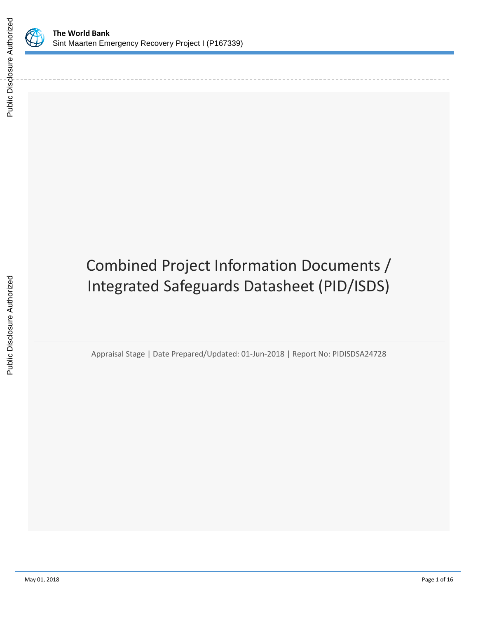

Public Disclosure Authorized

Public Disclosure Authorized

# Combined Project Information Documents / Integrated Safeguards Datasheet (PID/ISDS)

Appraisal Stage | Date Prepared/Updated: 01-Jun-2018 | Report No: PIDISDSA24728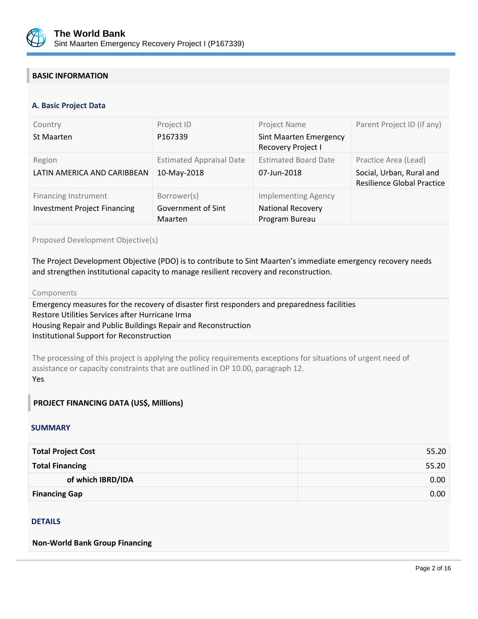

## **BASIC INFORMATION**

#### **OPS\_TABLE\_BASIC\_DATA A. Basic Project Data**

| Country<br>St Maarten                                              | Project ID<br>P167339                               | Project Name<br><b>Sint Maarten Emergency</b><br>Recovery Project I      | Parent Project ID (if any)                                                            |
|--------------------------------------------------------------------|-----------------------------------------------------|--------------------------------------------------------------------------|---------------------------------------------------------------------------------------|
| Region<br>LATIN AMERICA AND CARIBBEAN                              | <b>Estimated Appraisal Date</b><br>10-May-2018      | <b>Estimated Board Date</b><br>07-Jun-2018                               | Practice Area (Lead)<br>Social, Urban, Rural and<br><b>Resilience Global Practice</b> |
| <b>Financing Instrument</b><br><b>Investment Project Financing</b> | Borrower(s)<br>Government of Sint<br><b>Maarten</b> | <b>Implementing Agency</b><br><b>National Recovery</b><br>Program Bureau |                                                                                       |

## Proposed Development Objective(s)

The Project Development Objective (PDO) is to contribute to Sint Maarten's immediate emergency recovery needs and strengthen institutional capacity to manage resilient recovery and reconstruction.

#### Components

Emergency measures for the recovery of disaster first responders and preparedness facilities Restore Utilities Services after Hurricane Irma Housing Repair and Public Buildings Repair and Reconstruction Institutional Support for Reconstruction

The processing of this project is applying the policy requirements exceptions for situations of urgent need of assistance or capacity constraints that are outlined in OP 10.00, paragraph 12. Yes

## **PROJECT FINANCING DATA (US\$, Millions)**

### **SUMMARY**

| <b>Total Project Cost</b> | 55.20 |
|---------------------------|-------|
| <b>Total Financing</b>    | 55.20 |
| of which IBRD/IDA         | 0.00  |
| <b>Financing Gap</b>      | 0.00  |

### DETAILS

**Non-World Bank Group Financing**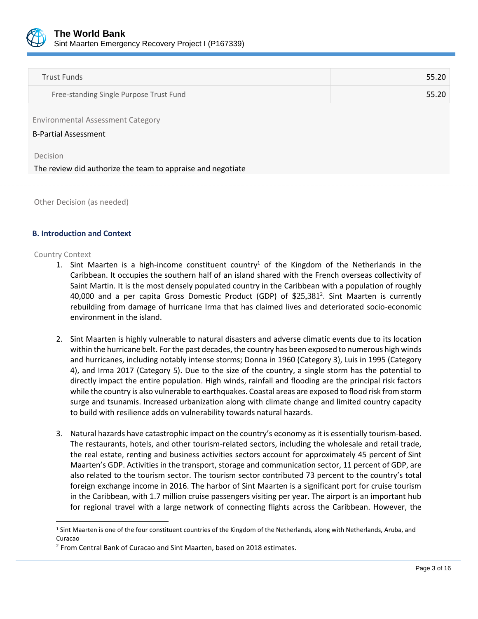

| Trust Funds                             | 55.20 |
|-----------------------------------------|-------|
| Free-standing Single Purpose Trust Fund | 55.20 |

Environmental Assessment Category

B-Partial Assessment

Decision

The review did authorize the team to appraise and negotiate

Other Decision (as needed)

### **B. Introduction and Context**

Country Context

 $\overline{\phantom{a}}$ 

- 1. Sint Maarten is a high-income constituent country<sup>1</sup> of the Kingdom of the Netherlands in the Caribbean. It occupies the southern half of an island shared with the French overseas collectivity of Saint Martin. It is the most densely populated country in the Caribbean with a population of roughly 40,000 and a per capita Gross Domestic Product (GDP) of  $$25,381<sup>2</sup>$ . Sint Maarten is currently rebuilding from damage of hurricane Irma that has claimed lives and deteriorated socio-economic environment in the island.
- 2. Sint Maarten is highly vulnerable to natural disasters and adverse climatic events due to its location within the hurricane belt. For the past decades, the country has been exposed to numerous high winds and hurricanes, including notably intense storms; Donna in 1960 (Category 3), Luis in 1995 (Category 4), and Irma 2017 (Category 5). Due to the size of the country, a single storm has the potential to directly impact the entire population. High winds, rainfall and flooding are the principal risk factors while the country is also vulnerable to earthquakes. Coastal areas are exposed to flood risk from storm surge and tsunamis. Increased urbanization along with climate change and limited country capacity to build with resilience adds on vulnerability towards natural hazards.
- 3. Natural hazards have catastrophic impact on the country's economy as it is essentially tourism-based. The restaurants, hotels, and other tourism-related sectors, including the wholesale and retail trade, the real estate, renting and business activities sectors account for approximately 45 percent of Sint Maarten's GDP. Activities in the transport, storage and communication sector, 11 percent of GDP, are also related to the tourism sector. The tourism sector contributed 73 percent to the country's total foreign exchange income in 2016. The harbor of Sint Maarten is a significant port for cruise tourism in the Caribbean, with 1.7 million cruise passengers visiting per year. The airport is an important hub for regional travel with a large network of connecting flights across the Caribbean. However, the

<sup>&</sup>lt;sup>1</sup> Sint Maarten is one of the four constituent countries of the Kingdom of the Netherlands, along with Netherlands, Aruba, and Curacao

<sup>2</sup> From Central Bank of Curacao and Sint Maarten, based on 2018 estimates.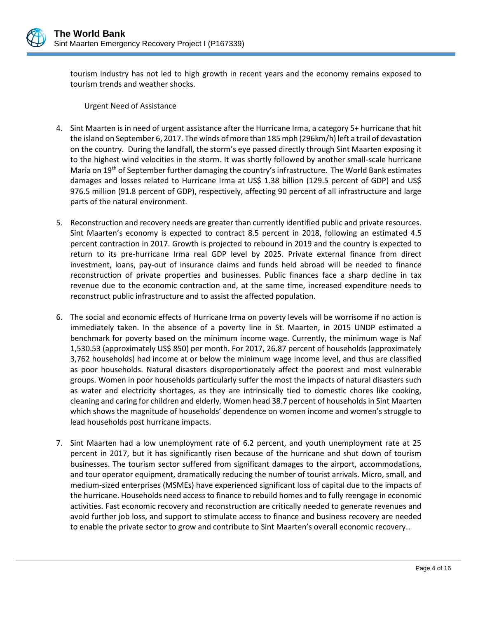

tourism industry has not led to high growth in recent years and the economy remains exposed to tourism trends and weather shocks.

Urgent Need of Assistance

- 4. Sint Maarten is in need of urgent assistance after the Hurricane Irma, a category 5+ hurricane that hit the island on September 6, 2017. The winds of more than 185 mph (296km/h) left a trail of devastation on the country. During the landfall, the storm's eye passed directly through Sint Maarten exposing it to the highest wind velocities in the storm. It was shortly followed by another small-scale hurricane Maria on 19<sup>th</sup> of September further damaging the country's infrastructure. The World Bank estimates damages and losses related to Hurricane Irma at US\$ 1.38 billion (129.5 percent of GDP) and US\$ 976.5 million (91.8 percent of GDP), respectively, affecting 90 percent of all infrastructure and large parts of the natural environment.
- 5. Reconstruction and recovery needs are greater than currently identified public and private resources. Sint Maarten's economy is expected to contract 8.5 percent in 2018, following an estimated 4.5 percent contraction in 2017. Growth is projected to rebound in 2019 and the country is expected to return to its pre-hurricane Irma real GDP level by 2025. Private external finance from direct investment, loans, pay-out of insurance claims and funds held abroad will be needed to finance reconstruction of private properties and businesses. Public finances face a sharp decline in tax revenue due to the economic contraction and, at the same time, increased expenditure needs to reconstruct public infrastructure and to assist the affected population.
- 6. The social and economic effects of Hurricane Irma on poverty levels will be worrisome if no action is immediately taken. In the absence of a poverty line in St. Maarten, in 2015 UNDP estimated a benchmark for poverty based on the minimum income wage. Currently, the minimum wage is Naf 1,530.53 (approximately US\$ 850) per month. For 2017, 26.87 percent of households (approximately 3,762 households) had income at or below the minimum wage income level, and thus are classified as poor households. Natural disasters disproportionately affect the poorest and most vulnerable groups. Women in poor households particularly suffer the most the impacts of natural disasters such as water and electricity shortages, as they are intrinsically tied to domestic chores like cooking, cleaning and caring for children and elderly. Women head 38.7 percent of households in Sint Maarten which shows the magnitude of households' dependence on women income and women's struggle to lead households post hurricane impacts.
- 7. Sint Maarten had a low unemployment rate of 6.2 percent, and youth unemployment rate at 25 percent in 2017, but it has significantly risen because of the hurricane and shut down of tourism businesses. The tourism sector suffered from significant damages to the airport, accommodations, and tour operator equipment, dramatically reducing the number of tourist arrivals. Micro, small, and medium-sized enterprises (MSMEs) have experienced significant loss of capital due to the impacts of the hurricane. Households need access to finance to rebuild homes and to fully reengage in economic activities. Fast economic recovery and reconstruction are critically needed to generate revenues and avoid further job loss, and support to stimulate access to finance and business recovery are needed to enable the private sector to grow and contribute to Sint Maarten's overall economic recovery..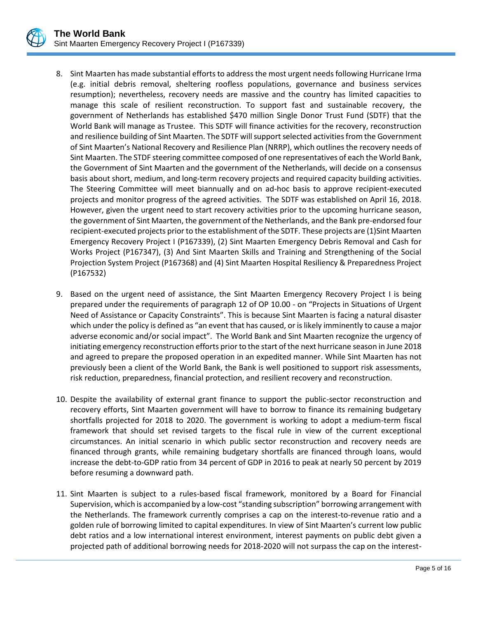

- 8. Sint Maarten has made substantial efforts to address the most urgent needs following Hurricane Irma (e.g. initial debris removal, sheltering roofless populations, governance and business services resumption); nevertheless, recovery needs are massive and the country has limited capacities to manage this scale of resilient reconstruction. To support fast and sustainable recovery, the government of Netherlands has established \$470 million Single Donor Trust Fund (SDTF) that the World Bank will manage as Trustee. This SDTF will finance activities for the recovery, reconstruction and resilience building of Sint Maarten. The SDTF will support selected activities from the Government of Sint Maarten's National Recovery and Resilience Plan (NRRP), which outlines the recovery needs of Sint Maarten. The STDF steering committee composed of one representatives of each the World Bank, the Government of Sint Maarten and the government of the Netherlands, will decide on a consensus basis about short, medium, and long-term recovery projects and required capacity building activities. The Steering Committee will meet biannually and on ad-hoc basis to approve recipient-executed projects and monitor progress of the agreed activities. The SDTF was established on April 16, 2018. However, given the urgent need to start recovery activities prior to the upcoming hurricane season, the government of Sint Maarten, the government of the Netherlands, and the Bank pre-endorsed four recipient-executed projects prior to the establishment of the SDTF. These projects are (1)Sint Maarten Emergency Recovery Project I (P167339), (2) Sint Maarten Emergency Debris Removal and Cash for Works Project (P167347), (3) And Sint Maarten Skills and Training and Strengthening of the Social Projection System Project (P167368) and (4) [Sint Maarten Hospital Resiliency & Preparedness Project](http://operationsportal.worldbank.org/secure/P167532/home)  [\(P167532\)](http://operationsportal.worldbank.org/secure/P167532/home)
- 9. Based on the urgent need of assistance, the Sint Maarten Emergency Recovery Project I is being prepared under the requirements of paragraph 12 of OP 10.00 - on "Projects in Situations of Urgent Need of Assistance or Capacity Constraints". This is because Sint Maarten is facing a natural disaster which under the policy is defined as "an event that has caused, or is likely imminently to cause a major adverse economic and/or social impact". The World Bank and Sint Maarten recognize the urgency of initiating emergency reconstruction efforts prior to the start of the next hurricane season in June 2018 and agreed to prepare the proposed operation in an expedited manner. While Sint Maarten has not previously been a client of the World Bank, the Bank is well positioned to support risk assessments, risk reduction, preparedness, financial protection, and resilient recovery and reconstruction.
- 10. Despite the availability of external grant finance to support the public-sector reconstruction and recovery efforts, Sint Maarten government will have to borrow to finance its remaining budgetary shortfalls projected for 2018 to 2020. The government is working to adopt a medium-term fiscal framework that should set revised targets to the fiscal rule in view of the current exceptional circumstances. An initial scenario in which public sector reconstruction and recovery needs are financed through grants, while remaining budgetary shortfalls are financed through loans, would increase the debt-to-GDP ratio from 34 percent of GDP in 2016 to peak at nearly 50 percent by 2019 before resuming a downward path.
- 11. Sint Maarten is subject to a rules-based fiscal framework, monitored by a Board for Financial Supervision, which is accompanied by a low-cost "standing subscription" borrowing arrangement with the Netherlands. The framework currently comprises a cap on the interest-to-revenue ratio and a golden rule of borrowing limited to capital expenditures. In view of Sint Maarten's current low public debt ratios and a low international interest environment, interest payments on public debt given a projected path of additional borrowing needs for 2018-2020 will not surpass the cap on the interest-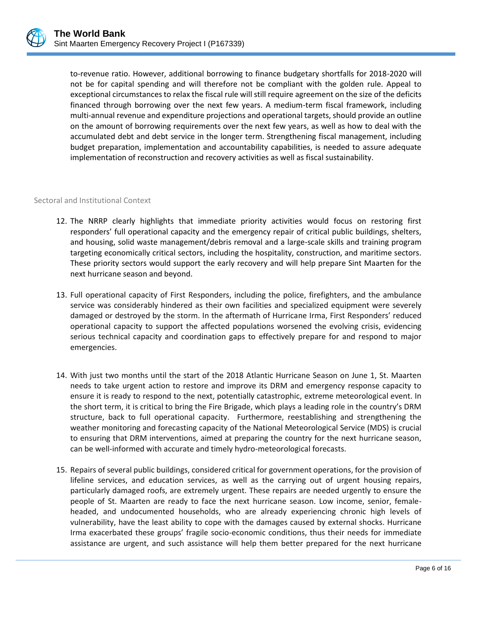to-revenue ratio. However, additional borrowing to finance budgetary shortfalls for 2018-2020 will not be for capital spending and will therefore not be compliant with the golden rule. Appeal to exceptional circumstances to relax the fiscal rule will still require agreement on the size of the deficits financed through borrowing over the next few years. A medium-term fiscal framework, including multi-annual revenue and expenditure projections and operational targets, should provide an outline on the amount of borrowing requirements over the next few years, as well as how to deal with the accumulated debt and debt service in the longer term. Strengthening fiscal management, including budget preparation, implementation and accountability capabilities, is needed to assure adequate implementation of reconstruction and recovery activities as well as fiscal sustainability.

## Sectoral and Institutional Context

- 12. The NRRP clearly highlights that immediate priority activities would focus on restoring first responders' full operational capacity and the emergency repair of critical public buildings, shelters, and housing, solid waste management/debris removal and a large-scale skills and training program targeting economically critical sectors, including the hospitality, construction, and maritime sectors. These priority sectors would support the early recovery and will help prepare Sint Maarten for the next hurricane season and beyond.
- 13. Full operational capacity of First Responders, including the police, firefighters, and the ambulance service was considerably hindered as their own facilities and specialized equipment were severely damaged or destroyed by the storm. In the aftermath of Hurricane Irma, First Responders' reduced operational capacity to support the affected populations worsened the evolving crisis, evidencing serious technical capacity and coordination gaps to effectively prepare for and respond to major emergencies.
- 14. With just two months until the start of the 2018 Atlantic Hurricane Season on June 1, St. Maarten needs to take urgent action to restore and improve its DRM and emergency response capacity to ensure it is ready to respond to the next, potentially catastrophic, extreme meteorological event. In the short term, it is critical to bring the Fire Brigade, which plays a leading role in the country's DRM structure, back to full operational capacity. Furthermore, reestablishing and strengthening the weather monitoring and forecasting capacity of the National Meteorological Service (MDS) is crucial to ensuring that DRM interventions, aimed at preparing the country for the next hurricane season, can be well-informed with accurate and timely hydro-meteorological forecasts.
- 15. Repairs of several public buildings, considered critical for government operations, for the provision of lifeline services, and education services, as well as the carrying out of urgent housing repairs, particularly damaged roofs, are extremely urgent. These repairs are needed urgently to ensure the people of St. Maarten are ready to face the next hurricane season. Low income, senior, femaleheaded, and undocumented households, who are already experiencing chronic high levels of vulnerability, have the least ability to cope with the damages caused by external shocks. Hurricane Irma exacerbated these groups' fragile socio-economic conditions, thus their needs for immediate assistance are urgent, and such assistance will help them better prepared for the next hurricane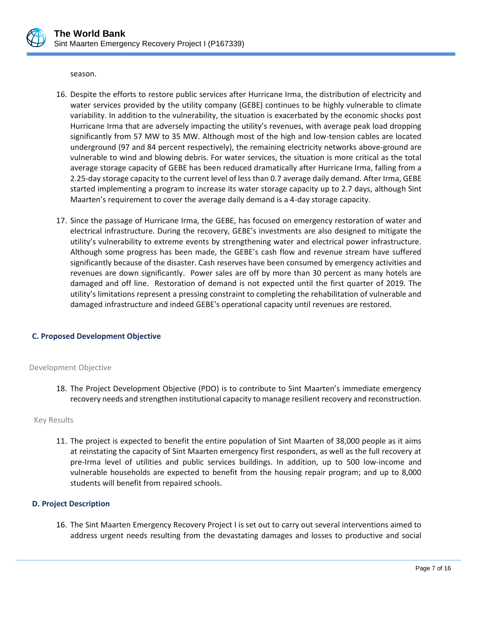

season.

- 16. Despite the efforts to restore public services after Hurricane Irma, the distribution of electricity and water services provided by the utility company (GEBE) continues to be highly vulnerable to climate variability. In addition to the vulnerability, the situation is exacerbated by the economic shocks post Hurricane Irma that are adversely impacting the utility's revenues, with average peak load dropping significantly from 57 MW to 35 MW. Although most of the high and low-tension cables are located underground (97 and 84 percent respectively), the remaining electricity networks above-ground are vulnerable to wind and blowing debris. For water services, the situation is more critical as the total average storage capacity of GEBE has been reduced dramatically after Hurricane Irma, falling from a 2.25-day storage capacity to the current level of less than 0.7 average daily demand. After Irma, GEBE started implementing a program to increase its water storage capacity up to 2.7 days, although Sint Maarten's requirement to cover the average daily demand is a 4-day storage capacity.
- 17. Since the passage of Hurricane Irma, the GEBE, has focused on emergency restoration of water and electrical infrastructure. During the recovery, GEBE's investments are also designed to mitigate the utility's vulnerability to extreme events by strengthening water and electrical power infrastructure. Although some progress has been made, the GEBE's cash flow and revenue stream have suffered significantly because of the disaster. Cash reserves have been consumed by emergency activities and revenues are down significantly. Power sales are off by more than 30 percent as many hotels are damaged and off line. Restoration of demand is not expected until the first quarter of 2019. The utility's limitations represent a pressing constraint to completing the rehabilitation of vulnerable and damaged infrastructure and indeed GEBE's operational capacity until revenues are restored.

## **C. Proposed Development Objective**

### Development Objective

18. The Project Development Objective (PDO) is to contribute to Sint Maarten's immediate emergency recovery needs and strengthen institutional capacity to manage resilient recovery and reconstruction.

### Key Results

11. The project is expected to benefit the entire population of Sint Maarten of 38,000 people as it aims at reinstating the capacity of Sint Maarten emergency first responders, as well as the full recovery at pre-Irma level of utilities and public services buildings. In addition, up to 500 low-income and vulnerable households are expected to benefit from the housing repair program; and up to 8,000 students will benefit from repaired schools.

## **D. Project Description**

16. The Sint Maarten Emergency Recovery Project I is set out to carry out several interventions aimed to address urgent needs resulting from the devastating damages and losses to productive and social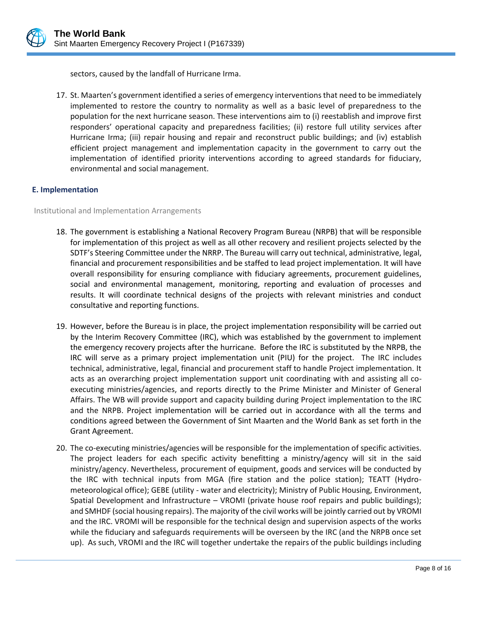

sectors, caused by the landfall of Hurricane Irma.

17. St. Maarten's government identified a series of emergency interventions that need to be immediately implemented to restore the country to normality as well as a basic level of preparedness to the population for the next hurricane season. These interventions aim to (i) reestablish and improve first responders' operational capacity and preparedness facilities; (ii) restore full utility services after Hurricane Irma; (iii) repair housing and repair and reconstruct public buildings; and (iv) establish efficient project management and implementation capacity in the government to carry out the implementation of identified priority interventions according to agreed standards for fiduciary, environmental and social management.

## **E. Implementation**

Institutional and Implementation Arrangements

- 18. The government is establishing a National Recovery Program Bureau (NRPB) that will be responsible for implementation of this project as well as all other recovery and resilient projects selected by the SDTF's Steering Committee under the NRRP. The Bureau will carry out technical, administrative, legal, financial and procurement responsibilities and be staffed to lead project implementation. It will have overall responsibility for ensuring compliance with fiduciary agreements, procurement guidelines, social and environmental management, monitoring, reporting and evaluation of processes and results. It will coordinate technical designs of the projects with relevant ministries and conduct consultative and reporting functions.
- 19. However, before the Bureau is in place, the project implementation responsibility will be carried out by the Interim Recovery Committee (IRC), which was established by the government to implement the emergency recovery projects after the hurricane. Before the IRC is substituted by the NRPB, the IRC will serve as a primary project implementation unit (PIU) for the project. The IRC includes technical, administrative, legal, financial and procurement staff to handle Project implementation. It acts as an overarching project implementation support unit coordinating with and assisting all coexecuting ministries/agencies, and reports directly to the Prime Minister and Minister of General Affairs. The WB will provide support and capacity building during Project implementation to the IRC and the NRPB. Project implementation will be carried out in accordance with all the terms and conditions agreed between the Government of Sint Maarten and the World Bank as set forth in the Grant Agreement.
- 20. The co-executing ministries/agencies will be responsible for the implementation of specific activities. The project leaders for each specific activity benefitting a ministry/agency will sit in the said ministry/agency. Nevertheless, procurement of equipment, goods and services will be conducted by the IRC with technical inputs from MGA (fire station and the police station); TEATT (Hydrometeorological office); GEBE (utility - water and electricity); Ministry of Public Housing, Environment, Spatial Development and Infrastructure – VROMI (private house roof repairs and public buildings); and SMHDF (social housing repairs). The majority of the civil works will be jointly carried out by VROMI and the IRC. VROMI will be responsible for the technical design and supervision aspects of the works while the fiduciary and safeguards requirements will be overseen by the IRC (and the NRPB once set up). As such, VROMI and the IRC will together undertake the repairs of the public buildings including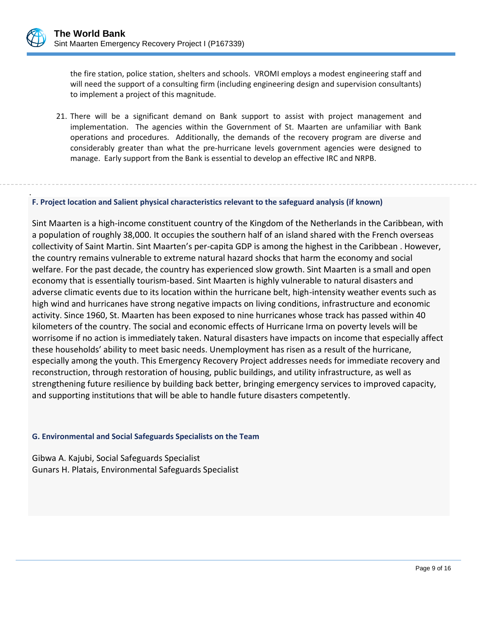the fire station, police station, shelters and schools. VROMI employs a modest engineering staff and will need the support of a consulting firm (including engineering design and supervision consultants) to implement a project of this magnitude.

21. There will be a significant demand on Bank support to assist with project management and implementation. The agencies within the Government of St. Maarten are unfamiliar with Bank operations and procedures. Additionally, the demands of the recovery program are diverse and considerably greater than what the pre-hurricane levels government agencies were designed to manage. Early support from the Bank is essential to develop an effective IRC and NRPB.

#### . **F. Project location and Salient physical characteristics relevant to the safeguard analysis (if known)**

Sint Maarten is a high-income constituent country of the Kingdom of the Netherlands in the Caribbean, with a population of roughly 38,000. It occupies the southern half of an island shared with the French overseas collectivity of Saint Martin. Sint Maarten's per-capita GDP is among the highest in the Caribbean . However, the country remains vulnerable to extreme natural hazard shocks that harm the economy and social welfare. For the past decade, the country has experienced slow growth. Sint Maarten is a small and open economy that is essentially tourism-based. Sint Maarten is highly vulnerable to natural disasters and adverse climatic events due to its location within the hurricane belt, high-intensity weather events such as high wind and hurricanes have strong negative impacts on living conditions, infrastructure and economic activity. Since 1960, St. Maarten has been exposed to nine hurricanes whose track has passed within 40 kilometers of the country. The social and economic effects of Hurricane Irma on poverty levels will be worrisome if no action is immediately taken. Natural disasters have impacts on income that especially affect these households' ability to meet basic needs. Unemployment has risen as a result of the hurricane, especially among the youth. This Emergency Recovery Project addresses needs for immediate recovery and reconstruction, through restoration of housing, public buildings, and utility infrastructure, as well as strengthening future resilience by building back better, bringing emergency services to improved capacity, and supporting institutions that will be able to handle future disasters competently.

### **G. Environmental and Social Safeguards Specialists on the Team**

Gibwa A. Kajubi, Social Safeguards Specialist Gunars H. Platais, Environmental Safeguards Specialist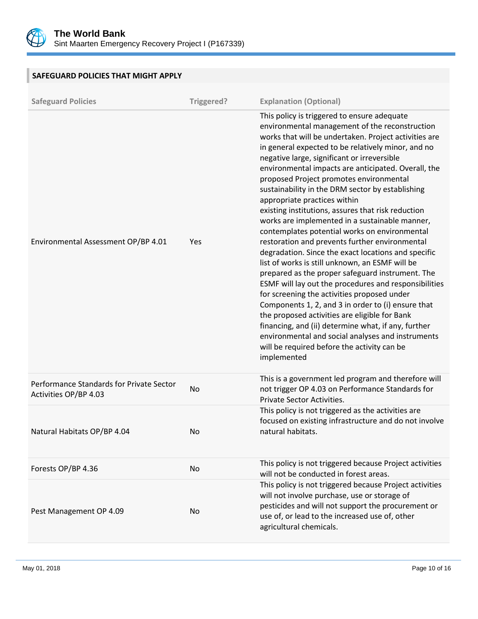

**SAFEGUARD POLICIES THAT MIGHT APPLY**

| <b>Safeguard Policies</b>                                         | Triggered? | <b>Explanation (Optional)</b>                                                                                                                                                                                                                                                                                                                                                                                                                                                                                                                                                                                                                                                                                                                                                                                                                                                                                                                                                                                                                                                                                                                                                                                       |
|-------------------------------------------------------------------|------------|---------------------------------------------------------------------------------------------------------------------------------------------------------------------------------------------------------------------------------------------------------------------------------------------------------------------------------------------------------------------------------------------------------------------------------------------------------------------------------------------------------------------------------------------------------------------------------------------------------------------------------------------------------------------------------------------------------------------------------------------------------------------------------------------------------------------------------------------------------------------------------------------------------------------------------------------------------------------------------------------------------------------------------------------------------------------------------------------------------------------------------------------------------------------------------------------------------------------|
| Environmental Assessment OP/BP 4.01                               | Yes        | This policy is triggered to ensure adequate<br>environmental management of the reconstruction<br>works that will be undertaken. Project activities are<br>in general expected to be relatively minor, and no<br>negative large, significant or irreversible<br>environmental impacts are anticipated. Overall, the<br>proposed Project promotes environmental<br>sustainability in the DRM sector by establishing<br>appropriate practices within<br>existing institutions, assures that risk reduction<br>works are implemented in a sustainable manner,<br>contemplates potential works on environmental<br>restoration and prevents further environmental<br>degradation. Since the exact locations and specific<br>list of works is still unknown, an ESMF will be<br>prepared as the proper safeguard instrument. The<br>ESMF will lay out the procedures and responsibilities<br>for screening the activities proposed under<br>Components 1, 2, and 3 in order to (i) ensure that<br>the proposed activities are eligible for Bank<br>financing, and (ii) determine what, if any, further<br>environmental and social analyses and instruments<br>will be required before the activity can be<br>implemented |
| Performance Standards for Private Sector<br>Activities OP/BP 4.03 | No         | This is a government led program and therefore will<br>not trigger OP 4.03 on Performance Standards for<br>Private Sector Activities.                                                                                                                                                                                                                                                                                                                                                                                                                                                                                                                                                                                                                                                                                                                                                                                                                                                                                                                                                                                                                                                                               |
| Natural Habitats OP/BP 4.04                                       | No         | This policy is not triggered as the activities are<br>focused on existing infrastructure and do not involve<br>natural habitats.                                                                                                                                                                                                                                                                                                                                                                                                                                                                                                                                                                                                                                                                                                                                                                                                                                                                                                                                                                                                                                                                                    |
| Forests OP/BP 4.36                                                | No         | This policy is not triggered because Project activities<br>will not be conducted in forest areas.                                                                                                                                                                                                                                                                                                                                                                                                                                                                                                                                                                                                                                                                                                                                                                                                                                                                                                                                                                                                                                                                                                                   |
| Pest Management OP 4.09                                           | No         | This policy is not triggered because Project activities<br>will not involve purchase, use or storage of<br>pesticides and will not support the procurement or<br>use of, or lead to the increased use of, other<br>agricultural chemicals.                                                                                                                                                                                                                                                                                                                                                                                                                                                                                                                                                                                                                                                                                                                                                                                                                                                                                                                                                                          |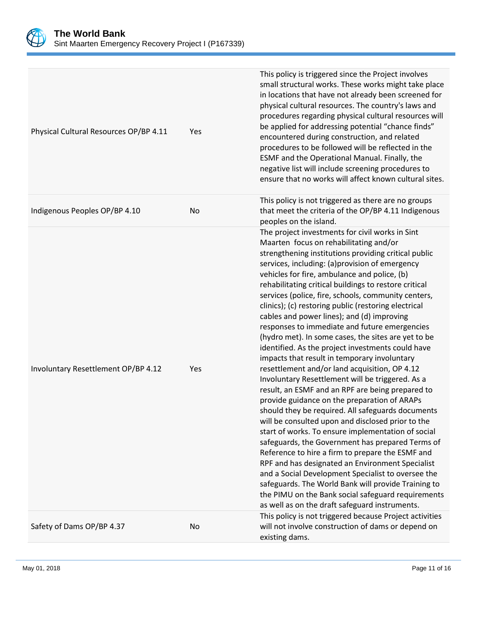

| Physical Cultural Resources OP/BP 4.11 | Yes | This policy is triggered since the Project involves<br>small structural works. These works might take place<br>in locations that have not already been screened for<br>physical cultural resources. The country's laws and<br>procedures regarding physical cultural resources will<br>be applied for addressing potential "chance finds"<br>encountered during construction, and related<br>procedures to be followed will be reflected in the<br>ESMF and the Operational Manual. Finally, the<br>negative list will include screening procedures to<br>ensure that no works will affect known cultural sites.                                                                                                                                                                                                                                                                                                                                                                                                                                                                                                                                                                                                                                                                                                                                                                                                                                 |
|----------------------------------------|-----|--------------------------------------------------------------------------------------------------------------------------------------------------------------------------------------------------------------------------------------------------------------------------------------------------------------------------------------------------------------------------------------------------------------------------------------------------------------------------------------------------------------------------------------------------------------------------------------------------------------------------------------------------------------------------------------------------------------------------------------------------------------------------------------------------------------------------------------------------------------------------------------------------------------------------------------------------------------------------------------------------------------------------------------------------------------------------------------------------------------------------------------------------------------------------------------------------------------------------------------------------------------------------------------------------------------------------------------------------------------------------------------------------------------------------------------------------|
| Indigenous Peoples OP/BP 4.10          | No  | This policy is not triggered as there are no groups<br>that meet the criteria of the OP/BP 4.11 Indigenous<br>peoples on the island.                                                                                                                                                                                                                                                                                                                                                                                                                                                                                                                                                                                                                                                                                                                                                                                                                                                                                                                                                                                                                                                                                                                                                                                                                                                                                                             |
| Involuntary Resettlement OP/BP 4.12    | Yes | The project investments for civil works in Sint<br>Maarten focus on rehabilitating and/or<br>strengthening institutions providing critical public<br>services, including: (a)provision of emergency<br>vehicles for fire, ambulance and police, (b)<br>rehabilitating critical buildings to restore critical<br>services (police, fire, schools, community centers,<br>clinics); (c) restoring public (restoring electrical<br>cables and power lines); and (d) improving<br>responses to immediate and future emergencies<br>(hydro met). In some cases, the sites are yet to be<br>identified. As the project investments could have<br>impacts that result in temporary involuntary<br>resettlement and/or land acquisition, OP 4.12<br>Involuntary Resettlement will be triggered. As a<br>result, an ESMF and an RPF are being prepared to<br>provide guidance on the preparation of ARAPs<br>should they be required. All safeguards documents<br>will be consulted upon and disclosed prior to the<br>start of works. To ensure implementation of social<br>safeguards, the Government has prepared Terms of<br>Reference to hire a firm to prepare the ESMF and<br>RPF and has designated an Environment Specialist<br>and a Social Development Specialist to oversee the<br>safeguards. The World Bank will provide Training to<br>the PIMU on the Bank social safeguard requirements<br>as well as on the draft safeguard instruments. |
| Safety of Dams OP/BP 4.37              | No  | This policy is not triggered because Project activities<br>will not involve construction of dams or depend on<br>existing dams.                                                                                                                                                                                                                                                                                                                                                                                                                                                                                                                                                                                                                                                                                                                                                                                                                                                                                                                                                                                                                                                                                                                                                                                                                                                                                                                  |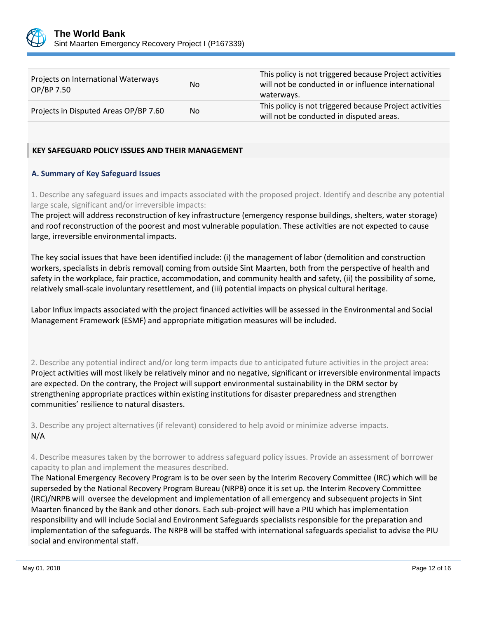

| Projects on International Waterways<br>OP/BP 7.50 | No. | This policy is not triggered because Project activities<br>will not be conducted in or influence international<br>waterways. |
|---------------------------------------------------|-----|------------------------------------------------------------------------------------------------------------------------------|
| Projects in Disputed Areas OP/BP 7.60             | No. | This policy is not triggered because Project activities<br>will not be conducted in disputed areas.                          |

## **KEY SAFEGUARD POLICY ISSUES AND THEIR MANAGEMENT**

## **A. Summary of Key Safeguard Issues**

1. Describe any safeguard issues and impacts associated with the proposed project. Identify and describe any potential large scale, significant and/or irreversible impacts:

The project will address reconstruction of key infrastructure (emergency response buildings, shelters, water storage) and roof reconstruction of the poorest and most vulnerable population. These activities are not expected to cause large, irreversible environmental impacts.

The key social issues that have been identified include: (i) the management of labor (demolition and construction workers, specialists in debris removal) coming from outside Sint Maarten, both from the perspective of health and safety in the workplace, fair practice, accommodation, and community health and safety, (ii) the possibility of some, relatively small-scale involuntary resettlement, and (iii) potential impacts on physical cultural heritage.

Labor Influx impacts associated with the project financed activities will be assessed in the Environmental and Social Management Framework (ESMF) and appropriate mitigation measures will be included.

2. Describe any potential indirect and/or long term impacts due to anticipated future activities in the project area: Project activities will most likely be relatively minor and no negative, significant or irreversible environmental impacts are expected. On the contrary, the Project will support environmental sustainability in the DRM sector by strengthening appropriate practices within existing institutions for disaster preparedness and strengthen communities' resilience to natural disasters.

3. Describe any project alternatives (if relevant) considered to help avoid or minimize adverse impacts. N/A

4. Describe measures taken by the borrower to address safeguard policy issues. Provide an assessment of borrower capacity to plan and implement the measures described.

The National Emergency Recovery Program is to be over seen by the Interim Recovery Committee (IRC) which will be superseded by the National Recovery Program Bureau (NRPB) once it is set up. the Interim Recovery Committee (IRC)/NRPB will oversee the development and implementation of all emergency and subsequent projects in Sint Maarten financed by the Bank and other donors. Each sub-project will have a PIU which has implementation responsibility and will include Social and Environment Safeguards specialists responsible for the preparation and implementation of the safeguards. The NRPB will be staffed with international safeguards specialist to advise the PIU social and environmental staff.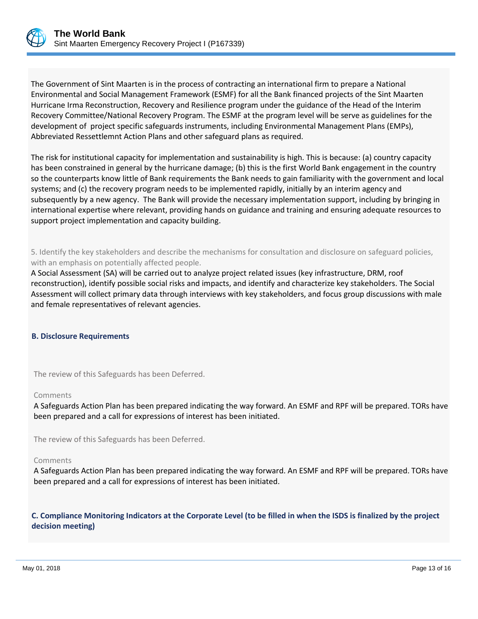

The Government of Sint Maarten is in the process of contracting an international firm to prepare a National Environmental and Social Management Framework (ESMF) for all the Bank financed projects of the Sint Maarten Hurricane Irma Reconstruction, Recovery and Resilience program under the guidance of the Head of the Interim Recovery Committee/National Recovery Program. The ESMF at the program level will be serve as guidelines for the development of project specific safeguards instruments, including Environmental Management Plans (EMPs), Abbreviated Ressettlemnt Action Plans and other safeguard plans as required.

The risk for institutional capacity for implementation and sustainability is high. This is because: (a) country capacity has been constrained in general by the hurricane damage; (b) this is the first World Bank engagement in the country so the counterparts know little of Bank requirements the Bank needs to gain familiarity with the government and local systems; and (c) the recovery program needs to be implemented rapidly, initially by an interim agency and subsequently by a new agency. The Bank will provide the necessary implementation support, including by bringing in international expertise where relevant, providing hands on guidance and training and ensuring adequate resources to support project implementation and capacity building.

5. Identify the key stakeholders and describe the mechanisms for consultation and disclosure on safeguard policies, with an emphasis on potentially affected people.

A Social Assessment (SA) will be carried out to analyze project related issues (key infrastructure, DRM, roof reconstruction), identify possible social risks and impacts, and identify and characterize key stakeholders. The Social Assessment will collect primary data through interviews with key stakeholders, and focus group discussions with male and female representatives of relevant agencies.

### **B. Disclosure Requirements**

The review of this Safeguards has been Deferred.

### Comments

A Safeguards Action Plan has been prepared indicating the way forward. An ESMF and RPF will be prepared. TORs have been prepared and a call for expressions of interest has been initiated.

The review of this Safeguards has been Deferred.

#### Comments

A Safeguards Action Plan has been prepared indicating the way forward. An ESMF and RPF will be prepared. TORs have been prepared and a call for expressions of interest has been initiated.

**C. Compliance Monitoring Indicators at the Corporate Level (to be filled in when the ISDS is finalized by the project decision meeting)**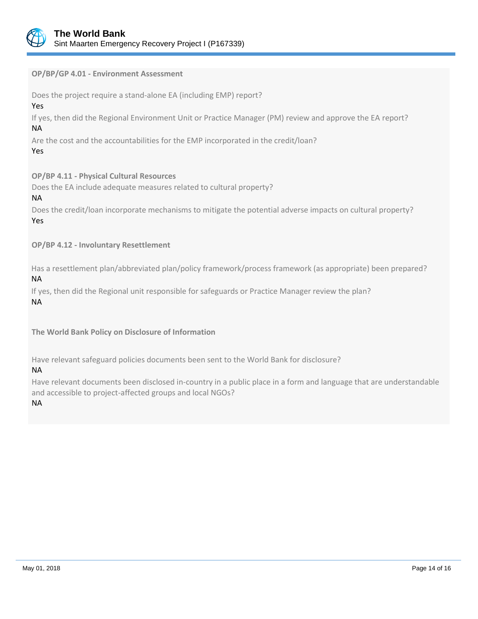

**OP/BP/GP 4.01 - Environment Assessment**

Does the project require a stand-alone EA (including EMP) report?

## Yes

If yes, then did the Regional Environment Unit or Practice Manager (PM) review and approve the EA report? NA

Are the cost and the accountabilities for the EMP incorporated in the credit/loan?

## Yes

**OP/BP 4.11 - Physical Cultural Resources**

Does the EA include adequate measures related to cultural property?

## NA

Does the credit/loan incorporate mechanisms to mitigate the potential adverse impacts on cultural property? Yes

**OP/BP 4.12 - Involuntary Resettlement**

Has a resettlement plan/abbreviated plan/policy framework/process framework (as appropriate) been prepared? NA

If yes, then did the Regional unit responsible for safeguards or Practice Manager review the plan? NA

**The World Bank Policy on Disclosure of Information**

Have relevant safeguard policies documents been sent to the World Bank for disclosure?

NA

Have relevant documents been disclosed in-country in a public place in a form and language that are understandable and accessible to project-affected groups and local NGOs?

NA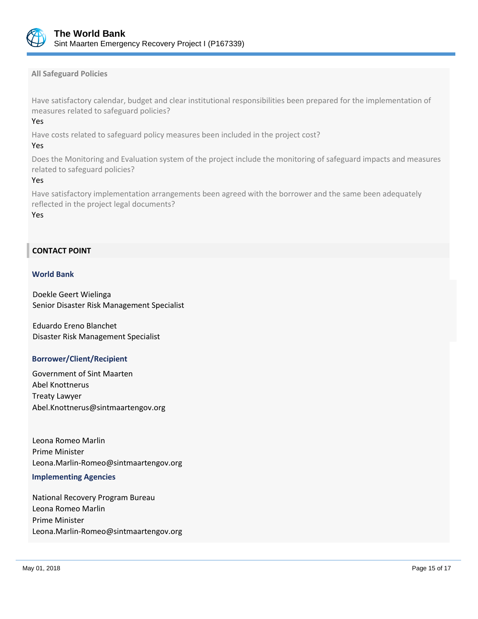

**All Safeguard Policies**

Have satisfactory calendar, budget and clear institutional responsibilities been prepared for the implementation of measures related to safeguard policies?

## Yes

Have costs related to safeguard policy measures been included in the project cost?

## Yes

Does the Monitoring and Evaluation system of the project include the monitoring of safeguard impacts and measures related to safeguard policies?

## Yes

Have satisfactory implementation arrangements been agreed with the borrower and the same been adequately reflected in the project legal documents?

Yes

## **CONTACT POINT**

## **World Bank**

Doekle Geert Wielinga Senior Disaster Risk Management Specialist

Eduardo Ereno Blanchet Disaster Risk Management Specialist

## **Borrower/Client/Recipient**

Government of Sint Maarten Abel Knottnerus Treaty Lawyer Abel.Knottnerus@sintmaartengov.org

Leona Romeo Marlin Prime Minister Leona.Marlin-Romeo@sintmaartengov.org

### **Implementing Agencies**

National Recovery Program Bureau Leona Romeo Marlin Prime Minister Leona.Marlin-Romeo@sintmaartengov.org